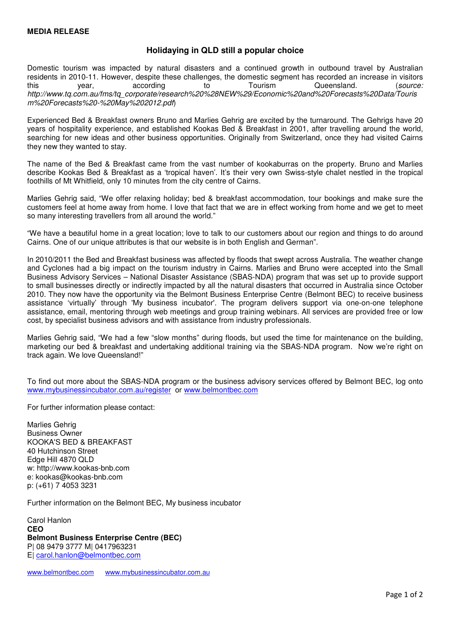## **Holidaying in QLD still a popular choice**

Domestic tourism was impacted by natural disasters and a continued growth in outbound travel by Australian residents in 2010-11. However, despite these challenges, the domestic segment has recorded an increase in visitors<br>this vear. eaccording to Tourism Queensland. (source: this year, according to Tourism Queensland. (*source:* http://www.tq.com.au/fms/tq\_corporate/research%20%28NEW%29/Economic%20and%20Forecasts%20Data/Touris m%20Forecasts%20-%20May%202012.pdf)

Experienced Bed & Breakfast owners Bruno and Marlies Gehrig are excited by the turnaround. The Gehrigs have 20 years of hospitality experience, and established Kookas Bed & Breakfast in 2001, after travelling around the world, searching for new ideas and other business opportunities. Originally from Switzerland, once they had visited Cairns they new they wanted to stay.

The name of the Bed & Breakfast came from the vast number of kookaburras on the property. Bruno and Marlies describe Kookas Bed & Breakfast as a 'tropical haven'. It's their very own Swiss-style chalet nestled in the tropical foothills of Mt Whitfield, only 10 minutes from the city centre of Cairns.

Marlies Gehrig said, "We offer relaxing holiday; bed & breakfast accommodation, tour bookings and make sure the customers feel at home away from home. I love that fact that we are in effect working from home and we get to meet so many interesting travellers from all around the world."

"We have a beautiful home in a great location; love to talk to our customers about our region and things to do around Cairns. One of our unique attributes is that our website is in both English and German".

In 2010/2011 the Bed and Breakfast business was affected by floods that swept across Australia. The weather change and Cyclones had a big impact on the tourism industry in Cairns. Marlies and Bruno were accepted into the Small Business Advisory Services – National Disaster Assistance (SBAS-NDA) program that was set up to provide support to small businesses directly or indirectly impacted by all the natural disasters that occurred in Australia since October 2010. They now have the opportunity via the Belmont Business Enterprise Centre (Belmont BEC) to receive business assistance 'virtually' through 'My business incubator'. The program delivers support via one-on-one telephone assistance, email, mentoring through web meetings and group training webinars. All services are provided free or low cost, by specialist business advisors and with assistance from industry professionals.

Marlies Gehrig said, "We had a few "slow months" during floods, but used the time for maintenance on the building, marketing our bed & breakfast and undertaking additional training via the SBAS-NDA program. Now we're right on track again. We love Queensland!"

To find out more about the SBAS-NDA program or the business advisory services offered by Belmont BEC, log onto www.mybusinessincubator.com.au/register or www.belmontbec.com

For further information please contact:

Marlies Gehrig Business Owner KOOKA'S BED & BREAKFAST 40 Hutchinson Street Edge Hill 4870 QLD w: http://www.kookas-bnb.com e: kookas@kookas-bnb.com p: (+61) 7 4053 3231

Further information on the Belmont BEC, My business incubator

Carol Hanlon **CEO Belmont Business Enterprise Centre (BEC)**  P| 08 9479 3777 M| 0417963231 E| carol.hanlon@belmontbec.com